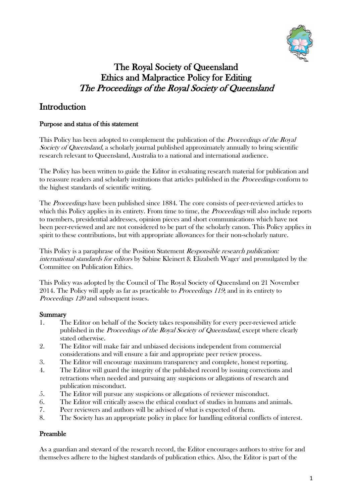

# The Royal Society of Queensland Ethics and Malpractice Policy for Editing The Proceedings of the Royal Society of Queensland

# Introduction

#### Purpose and status of this statement

This Policy has been adopted to complement the publication of the *Proceedings of the Royal* Society of Queensland, a scholarly journal published approximately annually to bring scientific research relevant to Queensland, Australia to a national and international audience.

The Policy has been written to guide the Editor in evaluating research material for publication and to reassure readers and scholarly institutions that articles published in the *Proceedings* conform to the highest standards of scientific writing.

The Proceedings have been published since 1884. The core consists of peer-reviewed articles to which this Policy applies in its entirety. From time to time, the *Proceedings* will also include reports to members, presidential addresses, opinion pieces and short communications which have not been peer-reviewed and are not considered to be part of the scholarly canon. This Policy applies in spirit to these contributions, but with appropriate allowances for their non-scholarly nature.

This Policy is a paraphrase of the Position Statement *Responsible research publication:* international standards for editors by Sabine Kleinert & Elizabeth Wager and promulgated by the Committee on Publication Ethics.

This Policy was adopted by the Council of The Royal Society of Queensland on 21 November 2014. The Policy will apply as far as practicable to *Proceedings 119*; and in its entirety to Proceedings 120 and subsequent issues.

#### Summary

- 1. The Editor on behalf of the Society takes responsibility for every peer-reviewed article published in the *Proceedings of the Royal Society of Queensland*, except where clearly stated otherwise.
- 2. The Editor will make fair and unbiased decisions independent from commercial considerations and will ensure a fair and appropriate peer review process.
- 3. The Editor will encourage maximum transparency and complete, honest reporting.
- 4. The Editor will guard the integrity of the published record by issuing corrections and retractions when needed and pursuing any suspicions or allegations of research and publication misconduct.
- 5. The Editor will pursue any suspicions or allegations of reviewer misconduct.
- 6. The Editor will critically assess the ethical conduct of studies in humans and animals.
- 7. Peer reviewers and authors will be advised of what is expected of them.
- 8. The Society has an appropriate policy in place for handling editorial conflicts of interest.

#### Preamble

As a guardian and steward of the research record, the Editor encourages authors to strive for and themselves adhere to the highest standards of publication ethics. Also, the Editor is part of the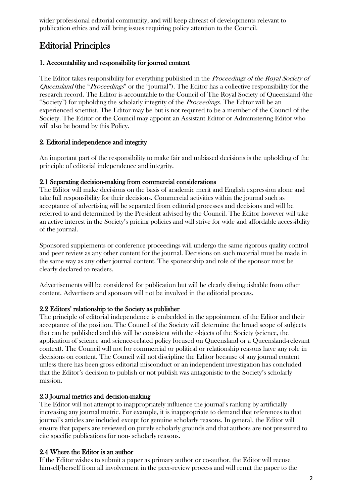wider professional editorial community, and will keep abreast of developments relevant to publication ethics and will bring issues requiring policy attention to the Council.

# Editorial Principles

## 1. Accountability and responsibility for journal content

The Editor takes responsibility for everything published in the *Proceedings of the Royal Society of* Queensland (the "Proceedings" or the "journal"). The Editor has a collective responsibility for the research record. The Editor is accountable to the Council of The Royal Society of Queensland (the "Society") for upholding the scholarly integrity of the *Proceedings*. The Editor will be an experienced scientist. The Editor may be but is not required to be a member of the Council of the Society. The Editor or the Council may appoint an Assistant Editor or Administering Editor who will also be bound by this Policy.

## 2. Editorial independence and integrity

An important part of the responsibility to make fair and unbiased decisions is the upholding of the principle of editorial independence and integrity.

## 2.1 Separating decision-making from commercial considerations

The Editor will make decisions on the basis of academic merit and English expression alone and take full responsibility for their decisions. Commercial activities within the journal such as acceptance of advertising will be separated from editorial processes and decisions and will be referred to and determined by the President advised by the Council. The Editor however will take an active interest in the Society's pricing policies and will strive for wide and affordable accessibility of the journal.

Sponsored supplements or conference proceedings will undergo the same rigorous quality control and peer review as any other content for the journal. Decisions on such material must be made in the same way as any other journal content. The sponsorship and role of the sponsor must be clearly declared to readers.

Advertisements will be considered for publication but will be clearly distinguishable from other content. Advertisers and sponsors will not be involved in the editorial process.

# 2.2 Editors' relationship to the Society as publisher

The principle of editorial independence is embedded in the appointment of the Editor and their acceptance of the position. The Council of the Society will determine the broad scope of subjects that can be published and this will be consistent with the objects of the Society (science, the application of science and science-related policy focused on Queensland or a Queensland-relevant context). The Council will not for commercial or political or relationship reasons have any role in decisions on content. The Council will not discipline the Editor because of any journal content unless there has been gross editorial misconduct or an independent investigation has concluded that the Editor's decision to publish or not publish was antagonistic to the Society's scholarly mission.

# 2.3 Journal metrics and decision-making

The Editor will not attempt to inappropriately influence the journal's ranking by artificially increasing any journal metric. For example, it is inappropriate to demand that references to that journal's articles are included except for genuine scholarly reasons. In general, the Editor will ensure that papers are reviewed on purely scholarly grounds and that authors are not pressured to cite specific publications for non- scholarly reasons.

# 2.4 Where the Editor is an author

If the Editor wishes to submit a paper as primary author or co-author, the Editor will recuse himself/herself from all involvement in the peer-review process and will remit the paper to the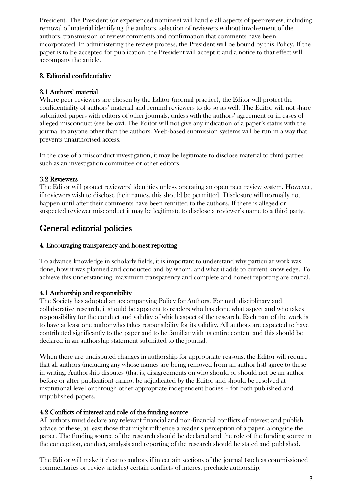President. The President (or experienced nominee) will handle all aspects of peer-review, including removal of material identifying the authors, selection of reviewers without involvement of the authors, transmission of review comments and confirmation that comments have been incorporated. In administering the review process, the President will be bound by this Policy. If the paper is to be accepted for publication, the President will accept it and a notice to that effect will accompany the article.

# 3. Editorial confidentiality

## 3.1 Authors' material

Where peer reviewers are chosen by the Editor (normal practice), the Editor will protect the confidentiality of authors' material and remind reviewers to do so as well. The Editor will not share submitted papers with editors of other journals, unless with the authors' agreement or in cases of alleged misconduct (see below).The Editor will not give any indication of a paper's status with the journal to anyone other than the authors. Web-based submission systems will be run in a way that prevents unauthorised access.

In the case of a misconduct investigation, it may be legitimate to disclose material to third parties such as an investigation committee or other editors.

#### 3.2 Reviewers

The Editor will protect reviewers' identities unless operating an open peer review system. However, if reviewers wish to disclose their names, this should be permitted. Disclosure will normally not happen until after their comments have been remitted to the authors. If there is alleged or suspected reviewer misconduct it may be legitimate to disclose a reviewer's name to a third party.

# General editorial policies

## 4. Encouraging transparency and honest reporting

To advance knowledge in scholarly fields, it is important to understand why particular work was done, how it was planned and conducted and by whom, and what it adds to current knowledge. To achieve this understanding, maximum transparency and complete and honest reporting are crucial.

# 4.1 Authorship and responsibility

The Society has adopted an accompanying Policy for Authors. For multidisciplinary and collaborative research, it should be apparent to readers who has done what aspect and who takes responsibility for the conduct and validity of which aspect of the research. Each part of the work is to have at least one author who takes responsibility for its validity. All authors are expected to have contributed significantly to the paper and to be familiar with its entire content and this should be declared in an authorship statement submitted to the journal.

When there are undisputed changes in authorship for appropriate reasons, the Editor will require that all authors (including any whose names are being removed from an author list) agree to these in writing. Authorship disputes (that is, disagreements on who should or should not be an author before or after publication) cannot be adjudicated by the Editor and should be resolved at institutional level or through other appropriate independent bodies – for both published and unpublished papers.

#### 4.2 Conflicts of interest and role of the funding source

All authors must declare any relevant financial and non-financial conflicts of interest and publish advice of these, at least those that might influence a reader's perception of a paper, alongside the paper. The funding source of the research should be declared and the role of the funding source in the conception, conduct, analysis and reporting of the research should be stated and published.

The Editor will make it clear to authors if in certain sections of the journal (such as commissioned commentaries or review articles) certain conflicts of interest preclude authorship.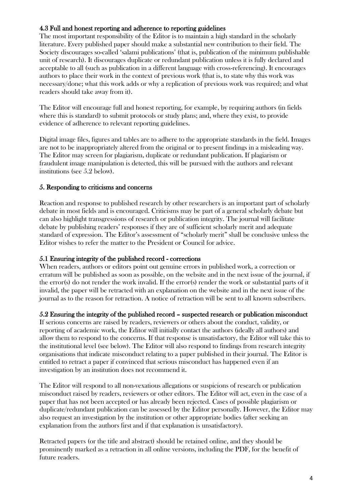#### 4.3 Full and honest reporting and adherence to reporting guidelines

The most important responsibility of the Editor is to maintain a high standard in the scholarly literature. Every published paper should make a substantial new contribution to their field. The Society discourages so-called 'salami publications' (that is, publication of the minimum publishable unit of research). It discourages duplicate or redundant publication unless it is fully declared and acceptable to all (such as publication in a different language with cross-referencing). It encourages authors to place their work in the context of previous work (that is, to state why this work was necessary/done; what this work adds or why a replication of previous work was required; and what readers should take away from it).

The Editor will encourage full and honest reporting, for example, by requiring authors (in fields where this is standard) to submit protocols or study plans; and, where they exist, to provide evidence of adherence to relevant reporting guidelines.

Digital image files, figures and tables are to adhere to the appropriate standards in the field. Images are not to be inappropriately altered from the original or to present findings in a misleading way. The Editor may screen for plagiarism, duplicate or redundant publication. If plagiarism or fraudulent image manipulation is detected, this will be pursued with the authors and relevant institutions (see 5.2 below).

#### 5. Responding to criticisms and concerns

Reaction and response to published research by other researchers is an important part of scholarly debate in most fields and is encouraged. Criticisms may be part of a general scholarly debate but can also highlight transgressions of research or publication integrity. The journal will facilitate debate by publishing readers' responses if they are of sufficient scholarly merit and adequate standard of expression. The Editor's assessment of "scholarly merit" shall be conclusive unless the Editor wishes to refer the matter to the President or Council for advice.

#### 5.1 Ensuring integrity of the published record - corrections

When readers, authors or editors point out genuine errors in published work, a correction or erratum will be published as soon as possible, on the website and in the next issue of the journal, if the error(s) do not render the work invalid. If the error(s) render the work or substantial parts of it invalid, the paper will be retracted with an explanation on the website and in the next issue of the journal as to the reason for retraction. A notice of retraction will be sent to all known subscribers.

#### 5.2 Ensuring the integrity of the published record – suspected research or publication misconduct

If serious concerns are raised by readers, reviewers or others about the conduct, validity, or reporting of academic work, the Editor will initially contact the authors (ideally all authors) and allow them to respond to the concerns. If that response is unsatisfactory, the Editor will take this to the institutional level (see below). The Editor will also respond to findings from research integrity organisations that indicate misconduct relating to a paper published in their journal. The Editor is entitled to retract a paper if convinced that serious misconduct has happened even if an investigation by an institution does not recommend it.

The Editor will respond to all non-vexatious allegations or suspicions of research or publication misconduct raised by readers, reviewers or other editors. The Editor will act, even in the case of a paper that has not been accepted or has already been rejected. Cases of possible plagiarism or duplicate/redundant publication can be assessed by the Editor personally. However, the Editor may also request an investigation by the institution or other appropriate bodies (after seeking an explanation from the authors first and if that explanation is unsatisfactory).

Retracted papers (or the title and abstract) should be retained online, and they should be prominently marked as a retraction in all online versions, including the PDF, for the benefit of future readers.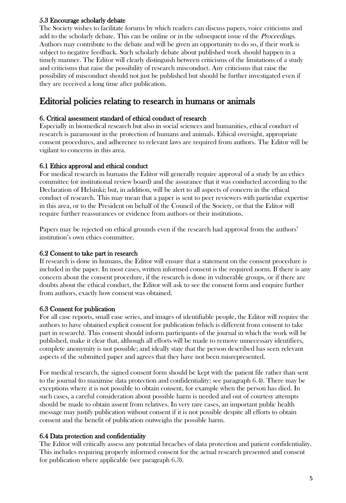## 5.3 Encourage scholarly debate

The Society wishes to facilitate forums by which readers can discuss papers, voice criticisms and add to the scholarly debate. This can be online or in the subsequent issue of the *Proceedings*. Authors may contribute to the debate and will be given an opportunity to do so, if their work is subject to negative feedback. Such scholarly debate about published work should happen in a timely manner. The Editor will clearly distinguish between criticisms of the limitations of a study and criticisms that raise the possibility of research misconduct. Any criticisms that raise the possibility of misconduct should not just be published but should be further investigated even if they are received a long time after publication.

# Editorial policies relating to research in humans or animals

### 6. Critical assessment standard of ethical conduct of research

Especially in biomedical research but also in social sciences and humanities, ethical conduct of research is paramount in the protection of humans and animals. Ethical oversight, appropriate consent procedures, and adherence to relevant laws are required from authors. The Editor will be vigilant to concerns in this area.

## 6.1 Ethics approval and ethical conduct

For medical research in humans the Editor will generally require approval of a study by an ethics committee (or institutional review board) and the assurance that it was conducted according to the Declaration of Helsinki; but, in addition, will be alert to all aspects of concern in the ethical conduct of research. This may mean that a paper is sent to peer reviewers with particular expertise in this area, or to the President on behalf of the Council of the Society, or that the Editor will require further reassurances or evidence from authors or their institutions.

Papers may be rejected on ethical grounds even if the research had approval from the authors' institution's own ethics committee.

### 6.2 Consent to take part in research

If research is done in humans, the Editor will ensure that a statement on the consent procedure is included in the paper. In most cases, written informed consent is the required norm. If there is any concern about the consent procedure, if the research is done in vulnerable groups, or if there are doubts about the ethical conduct, the Editor will ask to see the consent form and enquire further from authors, exactly how consent was obtained.

# 6.3 Consent for publication

For all case reports, small case series, and images of identifiable people, the Editor will require the authors to have obtained explicit consent for publication (which is different from consent to take part in research). This consent should inform participants of the journal in which the work will be published, make it clear that, although all efforts will be made to remove unnecessary identifiers, complete anonymity is not possible; and ideally state that the person described has seen relevant aspects of the submitted paper and agrees that they have not been misrepresented.

For medical research, the signed consent form should be kept with the patient file rather than sent to the journal (to maximise data protection and confidentiality; see paragraph 6.4). There may be exceptions where it is not possible to obtain consent, for example when the person has died. In such cases, a careful consideration about possible harm is needed and out of courtesy attempts should be made to obtain assent from relatives. In very rare cases, an important public health message may justify publication without consent if it is not possible despite all efforts to obtain consent and the benefit of publication outweighs the possible harm.

# 6.4 Data protection and confidentiality

The Editor will critically assess any potential breaches of data protection and patient confidentiality. This includes requiring properly informed consent for the actual research presented and consent for publication where applicable (see paragraph 6.3).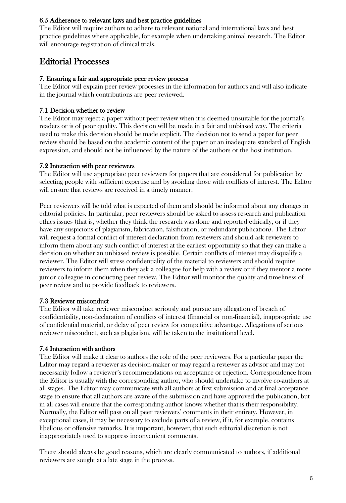## 6.5 Adherence to relevant laws and best practice guidelines

The Editor will require authors to adhere to relevant national and international laws and best practice guidelines where applicable, for example when undertaking animal research. The Editor will encourage registration of clinical trials.

# Editorial Processes

#### 7. Ensuring a fair and appropriate peer review process

The Editor will explain peer review processes in the information for authors and will also indicate in the journal which contributions are peer reviewed.

## 7.1 Decision whether to review

The Editor may reject a paper without peer review when it is deemed unsuitable for the journal's readers or is of poor quality. This decision will be made in a fair and unbiased way. The criteria used to make this decision should be made explicit. The decision not to send a paper for peer review should be based on the academic content of the paper or an inadequate standard of English expression, and should not be influenced by the nature of the authors or the host institution.

## 7.2 Interaction with peer reviewers

The Editor will use appropriate peer reviewers for papers that are considered for publication by selecting people with sufficient expertise and by avoiding those with conflicts of interest. The Editor will ensure that reviews are received in a timely manner.

Peer reviewers will be told what is expected of them and should be informed about any changes in editorial policies. In particular, peer reviewers should be asked to assess research and publication ethics issues (that is, whether they think the research was done and reported ethically, or if they have any suspicions of plagiarism, fabrication, falsification, or redundant publication). The Editor will request a formal conflict of interest declaration from reviewers and should ask reviewers to inform them about any such conflict of interest at the earliest opportunity so that they can make a decision on whether an unbiased review is possible. Certain conflicts of interest may disqualify a reviewer. The Editor will stress confidentiality of the material to reviewers and should require reviewers to inform them when they ask a colleague for help with a review or if they mentor a more junior colleague in conducting peer review. The Editor will monitor the quality and timeliness of peer review and to provide feedback to reviewers.

# 7.3 Reviewer misconduct

The Editor will take reviewer misconduct seriously and pursue any allegation of breach of confidentiality, non-declaration of conflicts of interest (financial or non-financial), inappropriate use of confidential material, or delay of peer review for competitive advantage. Allegations of serious reviewer misconduct, such as plagiarism, will be taken to the institutional level.

#### 7.4 Interaction with authors

The Editor will make it clear to authors the role of the peer reviewers. For a particular paper the Editor may regard a reviewer as decision-maker or may regard a reviewer as advisor and may not necessarily follow a reviewer's recommendations on acceptance or rejection. Correspondence from the Editor is usually with the corresponding author, who should undertake to involve co-authors at all stages. The Editor may communicate with all authors at first submission and at final acceptance stage to ensure that all authors are aware of the submission and have approved the publication, but in all cases will ensure that the corresponding author knows whether that is their responsibility. Normally, the Editor will pass on all peer reviewers' comments in their entirety. However, in exceptional cases, it may be necessary to exclude parts of a review, if it, for example, contains libellous or offensive remarks. It is important, however, that such editorial discretion is not inappropriately used to suppress inconvenient comments.

There should always be good reasons, which are clearly communicated to authors, if additional reviewers are sought at a late stage in the process.